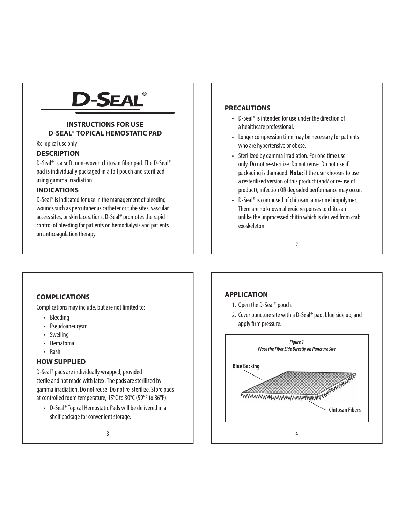# **-SEAL**

# **INSTRUCTIONS FOR USE D-SEAL® TOPICAL HEMOSTATIC PAD**

Rx Topical use only

# **DESCRIPTION**

D-Seal® is a soft, non-woven chitosan fiber pad. The D-Seal® pad is individually packaged in a foil pouch and sterilized using gamma irradiation.

# **INDICATIONS**

D-Seal® is indicated for use in the management of bleeding wounds such as percutaneous catheter or tube sites, vascular access sites, or skin lacerations. D-Seal® promotes the rapid control of bleeding for patients on hemodialysis and patients on anticoagulation therapy.

### **PRECAUTIONS**

- D-Seal® is intended for use under the direction of a healthcare professional.
- Longer compression time may be necessary for patients who are hypertensive or obese.
- Sterilized by gamma irradiation. For one time use only. Do not re-sterilize. Do not reuse. Do not use if packaging is damaged. **Note:** if the user chooses to use a resterilized version of this product (and/ or re-use of product); infection OR degraded performance may occur.
- D-Seal® is composed of chitosan, a marine biopolymer. There are no known allergic responses to chitosan unlike the unprocessed chitin which is derived from crab exoskeleton.

2

## **COMPLICATIONS**

Complications may include, but are not limited to:

- Bleeding
- Pseudoaneurysm
- **Swelling**
- Hematoma
- Rash

#### **HOW SUPPLIED**

D-Seal® pads are individually wrapped, provided sterile and not made with latex. The pads are sterilized by gamma irradiation. Do not reuse. Do not re-sterilize. Store pads at controlled room temperature, 15°C to 30°C (59°F to 86°F).

• D-Seal® Topical Hemostatic Pads will be delivered in a shelf package for convenient storage.

#### **APPLICATION**

- 1. Open the D-Seal® pouch.
- 2. Cover puncture site with a D-Seal® pad, blue side up, and apply firm pressure.